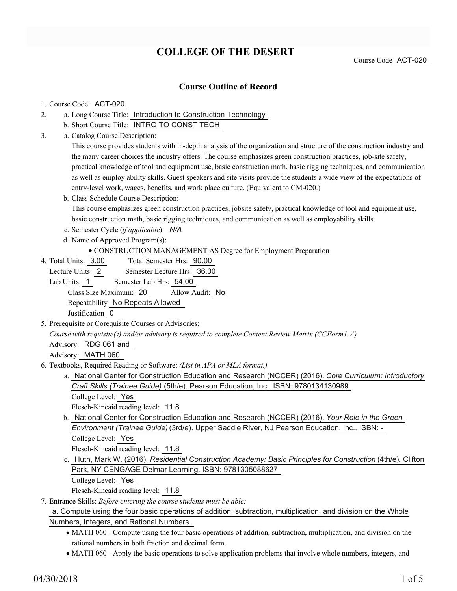# **COLLEGE OF THE DESERT**

Course Code ACT-020

## **Course Outline of Record**

#### 1. Course Code: ACT-020

- a. Long Course Title: Introduction to Construction Technology 2.
	- b. Short Course Title: INTRO TO CONST TECH
- Catalog Course Description: a. 3.

This course provides students with in-depth analysis of the organization and structure of the construction industry and the many career choices the industry offers. The course emphasizes green construction practices, job-site safety, practical knowledge of tool and equipment use, basic construction math, basic rigging techniques, and communication as well as employ ability skills. Guest speakers and site visits provide the students a wide view of the expectations of entry-level work, wages, benefits, and work place culture. (Equivalent to CM-020.)

b. Class Schedule Course Description: This course emphasizes green construction practices, jobsite safety, practical knowledge of tool and equipment use, basic construction math, basic rigging techniques, and communication as well as employability skills.

c. Semester Cycle (*if applicable*): *N/A*

- d. Name of Approved Program(s):
	- CONSTRUCTION MANAGEMENT AS Degree for Employment Preparation
- Total Semester Hrs: 90.00 4. Total Units: 3.00

Lecture Units: 2 Semester Lecture Hrs: 36.00

Lab Units: 1 Semester Lab Hrs: 54.00

Class Size Maximum: 20 Allow Audit: No

Repeatability No Repeats Allowed

Justification 0

5. Prerequisite or Corequisite Courses or Advisories:

*Course with requisite(s) and/or advisory is required to complete Content Review Matrix (CCForm1-A)*

Advisory: RDG 061 and

Advisory: MATH 060

- Textbooks, Required Reading or Software: *(List in APA or MLA format.)* 6.
	- a. National Center for Construction Education and Research (NCCER) (2016). *Core Curriculum: Introductory Craft Skills (Trainee Guide)* (5th/e). Pearson Education, Inc.. ISBN: 9780134130989

College Level: Yes

Flesch-Kincaid reading level: 11.8

b. National Center for Construction Education and Research (NCCER) (2016). *Your Role in the Green Environment (Trainee Guide)* (3rd/e). Upper Saddle River, NJ Pearson Education, Inc.. ISBN: - College Level: Yes

Flesch-Kincaid reading level: 11.8

c. Huth, Mark W. (2016). *Residential Construction Academy: Basic Principles for Construction* (4th/e). Clifton Park, NY CENGAGE Delmar Learning. ISBN: 9781305088627

```
College Level: Yes
```
Flesch-Kincaid reading level: 11.8

Entrance Skills: *Before entering the course students must be able:* 7.

### a. Compute using the four basic operations of addition, subtraction, multiplication, and division on the Whole Numbers, Integers, and Rational Numbers.

- MATH 060 Compute using the four basic operations of addition, subtraction, multiplication, and division on the rational numbers in both fraction and decimal form.
- MATH 060 Apply the basic operations to solve application problems that involve whole numbers, integers, and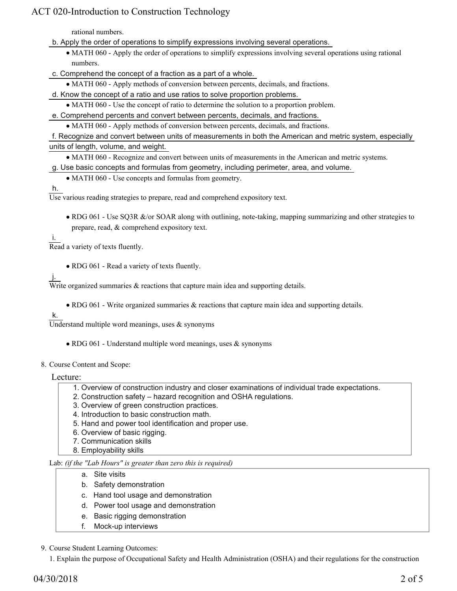## ACT 020-Introduction to Construction Technology

rational numbers.

- b. Apply the order of operations to simplify expressions involving several operations.
	- MATH 060 Apply the order of operations to simplify expressions involving several operations using rational numbers.
- c. Comprehend the concept of a fraction as a part of a whole.
- MATH 060 Apply methods of conversion between percents, decimals, and fractions.
- d. Know the concept of a ratio and use ratios to solve proportion problems.
	- MATH 060 Use the concept of ratio to determine the solution to a proportion problem.
- e. Comprehend percents and convert between percents, decimals, and fractions.
	- MATH 060 Apply methods of conversion between percents, decimals, and fractions.

f. Recognize and convert between units of measurements in both the American and metric system, especially units of length, volume, and weight.

MATH 060 - Recognize and convert between units of measurements in the American and metric systems.

- g. Use basic concepts and formulas from geometry, including perimeter, area, and volume.
	- MATH 060 Use concepts and formulas from geometry.

#### h.

Use various reading strategies to prepare, read and comprehend expository text.

• RDG 061 - Use SQ3R &/or SOAR along with outlining, note-taking, mapping summarizing and other strategies to prepare, read, & comprehend expository text.

i.

Read a variety of texts fluently.

RDG 061 - Read a variety of texts fluently.

## j.

Write organized summaries  $\&$  reactions that capture main idea and supporting details.

• RDG 061 - Write organized summaries & reactions that capture main idea and supporting details.

#### k.

Understand multiple word meanings, uses  $\&$  synonyms

• RDG 061 - Understand multiple word meanings, uses & synonyms

#### 8. Course Content and Scope:

#### Lecture:

- 1. Overview of construction industry and closer examinations of individual trade expectations.
- 2. Construction safety hazard recognition and OSHA regulations.
- 3. Overview of green construction practices.
- 4. Introduction to basic construction math.
- 5. Hand and power tool identification and proper use.
- 6. Overview of basic rigging.
- 7. Communication skills
- 8. Employability skills

### Lab: *(if the "Lab Hours" is greater than zero this is required)*

- a. Site visits
- b. Safety demonstration
- c. Hand tool usage and demonstration
- d. Power tool usage and demonstration
- e. Basic rigging demonstration
- f. Mock-up interviews
- 9. Course Student Learning Outcomes:

1. Explain the purpose of Occupational Safety and Health Administration (OSHA) and their regulations for the construction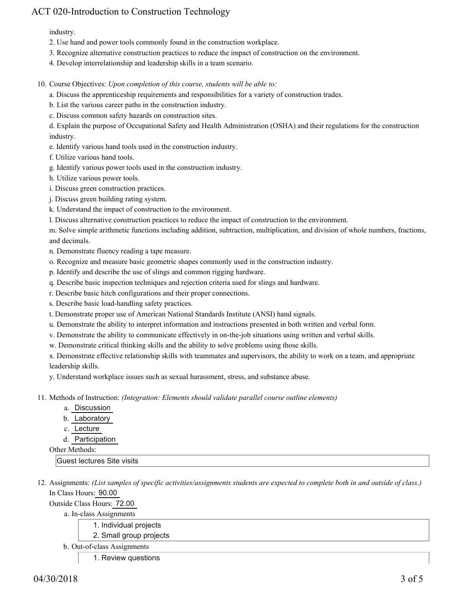## ACT 020-Introduction to Construction Technology

industry.

- 2. Use hand and power tools commonly found in the construction workplace.
- 3. Recognize alternative construction practices to reduce the impact of construction on the environment.
- 4. Develop interrelationship and leadership skills in a team scenario.
- 10. Course Objectives: Upon completion of this course, students will be able to:
	- a. Discuss the apprenticeship requirements and responsibilities for a variety of construction trades.
	- b. List the various career paths in the construction industry.
	- c. Discuss common safety hazards on construction sites.

d. Explain the purpose of Occupational Safety and Health Administration (OSHA) and their regulations for the construction industry.

- e. Identify various hand tools used in the construction industry.
- f. Utilize various hand tools.
- g. Identify various power tools used in the construction industry.
- h. Utilize various power tools.
- i. Discuss green construction practices.
- j. Discuss green building rating system.
- k. Understand the impact of construction to the environment.
- l. Discuss alternative construction practices to reduce the impact of construction to the environment.

m. Solve simple arithmetic functions including addition, subtraction, multiplication, and division of whole numbers, fractions, and decimals.

- n. Demonstrate fluency reading a tape measure.
- o. Recognize and measure basic geometric shapes commonly used in the construction industry.
- p. Identify and describe the use of slings and common rigging hardware.
- q. Describe basic inspection techniques and rejection criteria used for slings and hardware.
- r. Describe basic hitch configurations and their proper connections.
- s. Describe basic load-handling safety practices.
- t. Demonstrate proper use of American National Standards Institute (ANSI) hand signals.
- u. Demonstrate the ability to interpret information and instructions presented in both written and verbal form.
- v. Demonstrate the ability to communicate effectively in on-the-job situations using written and verbal skills.
- w. Demonstrate critical thinking skills and the ability to solve problems using those skills.

x. Demonstrate effective relationship skills with teammates and supervisors, the ability to work on a team, and appropriate leadership skills.

y. Understand workplace issues such as sexual harassment, stress, and substance abuse.

Methods of Instruction: *(Integration: Elements should validate parallel course outline elements)* 11.

- a. Discussion
- b. Laboratory
- c. Lecture
- d. Participation
- Other Methods:

Guest lectures Site visits

12. Assignments: (List samples of specific activities/assignments students are expected to complete both in and outside of class.) In Class Hours: 90.00

Outside Class Hours: 72.00

- a. In-class Assignments
	- 1. Individual projects
	- 2. Small group projects
- b. Out-of-class Assignments
	- 1. Review questions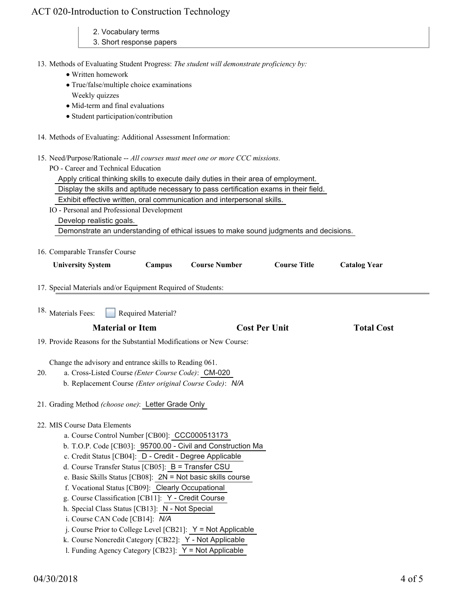| ACT 020-Introduction to Construction Technology |  |  |
|-------------------------------------------------|--|--|
|-------------------------------------------------|--|--|

| CT 020-Introduction to Construction Technology                                                                    |                     |
|-------------------------------------------------------------------------------------------------------------------|---------------------|
| 2. Vocabulary terms                                                                                               |                     |
| 3. Short response papers                                                                                          |                     |
| 13. Methods of Evaluating Student Progress: The student will demonstrate proficiency by:                          |                     |
| · Written homework                                                                                                |                     |
| • True/false/multiple choice examinations                                                                         |                     |
| Weekly quizzes                                                                                                    |                     |
| • Mid-term and final evaluations                                                                                  |                     |
| • Student participation/contribution                                                                              |                     |
| 14. Methods of Evaluating: Additional Assessment Information:                                                     |                     |
| 15. Need/Purpose/Rationale -- All courses must meet one or more CCC missions.                                     |                     |
| PO - Career and Technical Education                                                                               |                     |
| Apply critical thinking skills to execute daily duties in their area of employment.                               |                     |
| Display the skills and aptitude necessary to pass certification exams in their field.                             |                     |
| Exhibit effective written, oral communication and interpersonal skills.                                           |                     |
| IO - Personal and Professional Development                                                                        |                     |
| Develop realistic goals.<br>Demonstrate an understanding of ethical issues to make sound judgments and decisions. |                     |
|                                                                                                                   |                     |
| 16. Comparable Transfer Course                                                                                    |                     |
| Campus<br><b>Course Number</b><br><b>Course Title</b><br><b>University System</b>                                 | <b>Catalog Year</b> |
|                                                                                                                   |                     |
| 17. Special Materials and/or Equipment Required of Students:                                                      |                     |
| <sup>18.</sup> Materials Fees:<br>Required Material?                                                              |                     |
| <b>Material or Item</b><br><b>Cost Per Unit</b>                                                                   | <b>Total Cost</b>   |
| 19. Provide Reasons for the Substantial Modifications or New Course:                                              |                     |
| Change the advisory and entrance skills to Reading 061.                                                           |                     |
| 20.<br>a. Cross-Listed Course (Enter Course Code): CM-020                                                         |                     |
| b. Replacement Course (Enter original Course Code): N/A                                                           |                     |
|                                                                                                                   |                     |
| 21. Grading Method (choose one): Letter Grade Only                                                                |                     |
| 22. MIS Course Data Elements                                                                                      |                     |
| a. Course Control Number [CB00]: CCC000513173                                                                     |                     |
| b. T.O.P. Code [CB03]: 95700.00 - Civil and Construction Ma                                                       |                     |
| c. Credit Status [CB04]: D - Credit - Degree Applicable                                                           |                     |
| d. Course Transfer Status [CB05]: B = Transfer CSU                                                                |                     |
| e. Basic Skills Status [CB08]: $2N = Not basic skills course$                                                     |                     |
| f. Vocational Status [CB09]: Clearly Occupational                                                                 |                     |
| g. Course Classification [CB11]: Y - Credit Course<br>h. Special Class Status [CB13]: N - Not Special             |                     |
| i. Course CAN Code [CB14]: N/A                                                                                    |                     |
| j. Course Prior to College Level [CB21]: $Y = Not$ Applicable                                                     |                     |
| k. Course Noncredit Category [CB22]: Y - Not Applicable                                                           |                     |
| 1. Funding Agency Category [CB23]: Y = Not Applicable                                                             |                     |
|                                                                                                                   |                     |